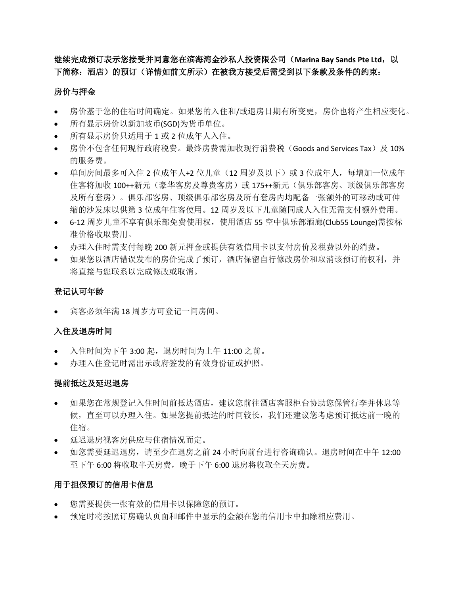继续完成预订表示您接受并同意您在滨海湾金沙私人投资限公司(**Marina Bay Sands Pte Ltd**,以 下简称:酒店)的预订(详情如前文所示)在被我方接受后需受到以下条款及条件的约束:

# 房价与押金

- 房价基于您的住宿时间确定。如果您的入住和/或退房日期有所变更,房价也将产生相应变化。
- 所有显示房价以新加坡币(SGD)为货币单位。
- 所有显示房价只适用于 1 或 2 位成年人入住。
- 房价不包含任何现行政府税费。最终房费需加收现行消费税(Goods and Services Tax)及 10% 的服务费。
- 单间房间最多可入住 2 位成年人+2 位儿童(12 周岁及以下)或 3 位成年人,每增加一位成年 住客将加收 100++新元(豪华客房及尊贵客房)或 175++新元(俱乐部客房、顶级俱乐部客房 及所有套房)。俱乐部客房、顶级俱乐部客房及所有套房内均配备一张额外的可移动或可伸 缩的沙发床以供第 3 位成年住客使用。12 周岁及以下儿童随同成人入住无需支付额外费用。
- 6-12 周岁儿童不享有俱乐部免费使用权,使用酒店 55 空中俱乐部酒廊(Club55 Lounge)需按标 准价格收取费用。
- 办理入住时需支付每晚 200 新元押金或提供有效信用卡以支付房价及税费以外的消费。
- 如果您以酒店错误发布的房价完成了预订,酒店保留自行修改房价和取消该预订的权利,并 将直接与您联系以完成修改或取消。

# 登记认可年龄

宾客必须年满 18 周岁方可登记一间房间。

# 入住及退房时间

- 入住时间为下午 3:00 起, 退房时间为上午 11:00 之前。
- 办理入住登记时需出示政府签发的有效身份证或护照。

## 提前抵达及延迟退房

- 如果您在常规登记入住时间前抵达酒店,建议您前往酒店客服柜台协助您保管行李并休息等 候,直至可以办理入住。如果您提前抵达的时间较长,我们还建议您考虑预订抵达前一晚的 住宿。
- 延迟退房视客房供应与住宿情况而定。
- 如您需要延迟退房,请至少在退房之前 24 小时向前台进行咨询确认。退房时间在中午 12:00 至下午 6:00 将收取半天房费, 晚于下午 6:00 退房将收取全天房费。

# 用于担保预订的信用卡信息

- 您需要提供一张有效的信用卡以保障您的预订。
- 预定时将按照订房确认页面和邮件中显示的金额在您的信用卡中扣除相应费用。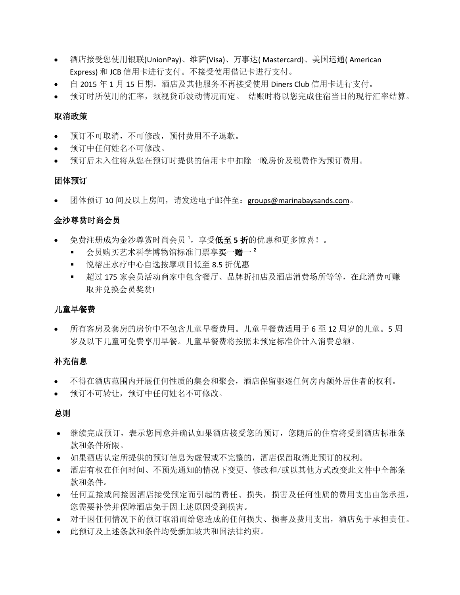- 酒店接受您使用银联(UnionPay)、维萨(Visa)、万事达( Mastercard)、美国运通( American Express) 和 JCB 信用卡进行支付。不接受使用借记卡进行支付。
- 自 2015 年 1 月 15 日期,酒店及其他服务不再接受使用 Diners Club 信用卡进行支付。
- 预订时所使用的汇率,须视货币波动情况而定。 结账时将以您完成住宿当日的现行汇率结算。

### 取消政策

- 预订不可取消,不可修改,预付费用不予退款。
- 预订中任何姓名不可修改。
- 预订后未入住将从您在预订时提供的信用卡中扣除一晚房价及税费作为预订费用。

### 团体预订

团体预订 10 间及以上房间,请发送电子邮件至:groups@marinabaysands.com。

## 金沙尊赏时尚会员

- 免费注册成为金沙尊赏时尚会员 <sup>1</sup>,享受低至 **5** 折的优惠和更多惊喜!。
	- 会员购买艺术科学博物馆标准门票享买一赠一 **<sup>2</sup>**
	- 悦榕庄水疗中心自选按摩项目低至 8.5 折优惠
	- 超过 175 家会员活动商家中包含餐厅、品牌折扣店及酒店消费场所等等, 在此消费可赚 取并兑换会员奖赏!

## 儿童早餐费

 所有客房及套房的房价中不包含儿童早餐费用。儿童早餐费适用于 6 至 12 周岁的儿童。5 周 岁及以下儿童可免费享用早餐。儿童早餐费将按照未预定标准价计入消费总额。

## 补充信息

- 不得在酒店范围内开展任何性质的集会和聚会,酒店保留驱逐任何房内额外居住者的权利。
- 预订不可转让,预订中任何姓名不可修改。

## 总则

- 继续完成预订,表示您同意并确认如果酒店接受您的预订,您随后的住宿将受到酒店标准条 款和条件所限。
- 如果酒店认定所提供的预订信息为虚假或不完整的,酒店保留取消此预订的权利。
- 酒店有权在任何时间、不预先通知的情况下变更、修改和/或以其他方式改变此文件中全部条 款和条件。
- 任何直接或间接因酒店接受预定而引起的责任、损失,损害及任何性质的费用支出由您承担, 您需要补偿并保障酒店免于因上述原因受到损害。
- 对于因任何情况下的预订取消而给您造成的任何损失、损害及费用支出,酒店免于承担责任。
- 此预订及上述条款和条件均受新加坡共和国法律约束。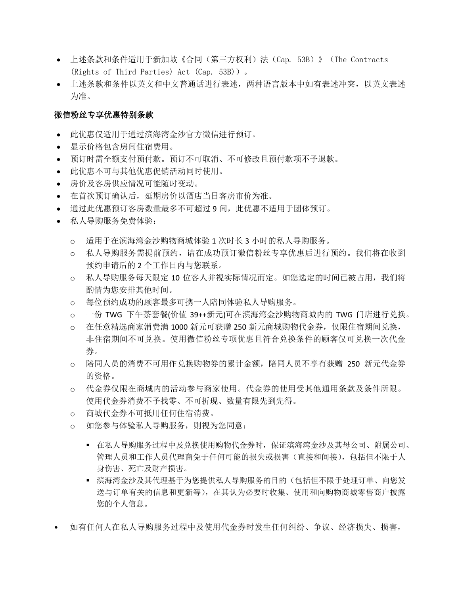- 上述条款和条件适用于新加坡《合同(第三方权利)法(Cap. 53B)》(The Contracts (Rights of Third Parties) Act (Cap. 53B))。
- 上述条款和条件以英文和中文普通话进行表述,两种语言版本中如有表述冲突,以英文表述 为准。

# 微信粉丝专享优惠特别条款

- 此优惠仅适用于通过滨海湾金沙官方微信进行预订。
- 显示价格包含房间住宿费用。
- 预订时需全额支付预付款。预订不可取消、不可修改且预付款项不予退款。
- 此优惠不可与其他优惠促销活动同时使用。
- 房价及客房供应情况可能随时变动。
- 在首次预订确认后,延期房价以酒店当日客房市价为准。
- 通过此优惠预订客房数量最多不可超过 9 间,此优惠不适用于团体预订。
- 私人导购服务免费体验:
	- o 适用于在滨海湾金沙购物商城体验 1 次时长 3 小时的私人导购服务。
	- o 私人导购服务需提前预约,请在成功预订微信粉丝专享优惠后进行预约。我们将在收到 预约申请后的 2 个工作日内与您联系。
	- o 私人导购服务每天限定 10 位客人并视实际情况而定。如您选定的时间已被占用,我们将 酌情为您安排其他时间。
	- o 每位预约成功的顾客最多可携一人陪同体验私人导购服务。
	- o 一份 TWG 下午茶套餐(价值 39++新元)可在滨海湾金沙购物商城内的 TWG 门店进行兑换。
	- o 在任意精选商家消费满 1000 新元可获赠 250 新元商城购物代金券,仅限住宿期间兑换, 非住宿期间不可兑换。使用微信粉丝专项优惠且符合兑换条件的顾客仅可兑换一次代金 券。
	- o 陪同人员的消费不可用作兑换购物券的累计金额,陪同人员不享有获赠 250 新元代金券 的资格。
	- o 代金券仅限在商城内的活动参与商家使用。代金券的使用受其他通用条款及条件所限。 使用代金券消费不予找零、不可折现、数量有限先到先得。
	- o 商城代金券不可抵用任何住宿消费。
	- o 如您参与体验私人导购服务,则视为您同意:
		- 在私人导购服务过程中及兑换使用购物代金券时,保证滨海湾金沙及其母公司、附属公司、 管理人员和工作人员代理商免于任何可能的损失或损害(直接和间接),包括但不限于人 身伤害、死亡及财产损害。
		- 滨海湾金沙及其代理基于为您提供私人导购服务的目的(包括但不限于处理订单、向您发 送与订单有关的信息和更新等),在其认为必要时收集、使用和向购物商城零售商户披露 您的个人信息。
- 如有任何人在私人导购服务过程中及使用代金券时发生任何纠纷、争议、经济损失、损害,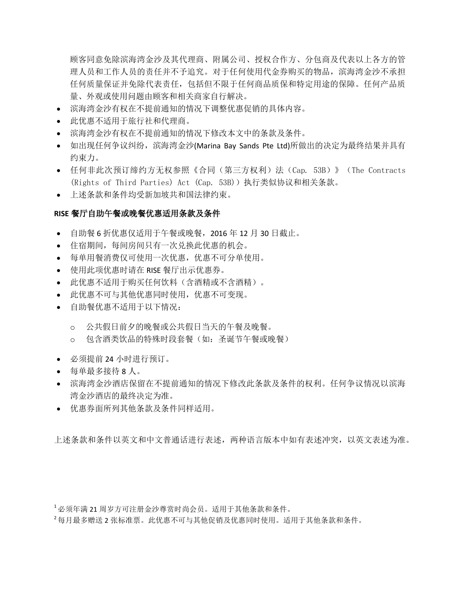顾客同意免除滨海湾金沙及其代理商、附属公司、授权合作方、分包商及代表以上各方的管 理人员和工作人员的责任并不予追究。对于任何使用代金券购买的物品,滨海湾金沙不承担 任何质量保证并免除代表责任,包括但不限于任何商品质保和特定用途的保障。任何产品质 量、外观或使用问题由顾客和相关商家自行解决。

- 滨海湾金沙有权在不提前通知的情况下调整优惠促销的具体内容。
- 此优惠不适用于旅行社和代理商。
- 滨海湾金沙有权在不提前通知的情况下修改本文中的条款及条件。
- 如出现任何争议纠纷,滨海湾金沙(Marina Bay Sands Pte Ltd)所做出的决定为最终结果并具有 约束力。
- 任何非此次预订缔约方无权参照《合同(第三方权利)法(Cap. 53B)》(The Contracts (Rights of Third Parties) Act (Cap. 53B))执行类似协议和相关条款。
- 上述条款和条件均受新加坡共和国法律约束。

### **RISE** 餐厅自助午餐或晚餐优惠适用条款及条件

- 自助餐 6 折优惠仅适用于午餐或晚餐,2016 年 12 月 30 日截止。
- 住宿期间,每间房间只有一次兑换此优惠的机会。
- 每单用餐消费仅可使用一次优惠,优惠不可分单使用。
- 使用此项优惠时请在 RISE 餐厅出示优惠券。
- 此优惠不适用于购买任何饮料(含酒精或不含酒精)。
- 此优惠不可与其他优惠同时使用,优惠不可变现。
- 自助餐优惠不适用于以下情况:
	- o 公共假日前夕的晚餐或公共假日当天的午餐及晚餐。
	- o 包含酒类饮品的特殊时段套餐(如:圣诞节午餐或晚餐)
- 必须提前 24 小时进行预订。
- 每单最多接待 8 人。
- 滨海湾金沙酒店保留在不提前通知的情况下修改此条款及条件的权利。任何争议情况以滨海 湾金沙酒店的最终决定为准。
- 优惠券面所列其他条款及条件同样适用。

上述条款和条件以英文和中文普通话进行表述,两种语言版本中如有表述冲突,以英文表述为准。

<sup>1</sup>必须年满 21 周岁方可注册金沙尊赏时尚会员。适用于其他条款和条件。

<sup>2</sup>每月最多赠送 2 张标准票。此优惠不可与其他促销及优惠同时使用。适用于其他条款和条件。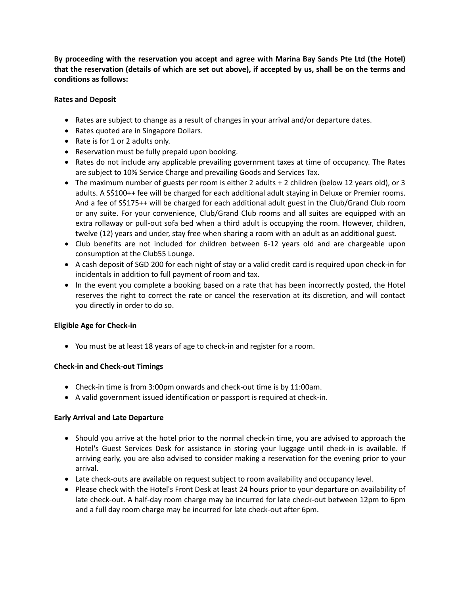**By proceeding with the reservation you accept and agree with Marina Bay Sands Pte Ltd (the Hotel) that the reservation (details of which are set out above), if accepted by us, shall be on the terms and conditions as follows:**

### **Rates and Deposit**

- Rates are subject to change as a result of changes in your arrival and/or departure dates.
- Rates quoted are in Singapore Dollars.
- Rate is for 1 or 2 adults only.
- Reservation must be fully prepaid upon booking.
- Rates do not include any applicable prevailing government taxes at time of occupancy. The Rates are subject to 10% Service Charge and prevailing Goods and Services Tax.
- The maximum number of guests per room is either 2 adults + 2 children (below 12 years old), or 3 adults. A S\$100++ fee will be charged for each additional adult staying in Deluxe or Premier rooms. And a fee of S\$175++ will be charged for each additional adult guest in the Club/Grand Club room or any suite. For your convenience, Club/Grand Club rooms and all suites are equipped with an extra rollaway or pull-out sofa bed when a third adult is occupying the room. However, children, twelve (12) years and under, stay free when sharing a room with an adult as an additional guest.
- Club benefits are not included for children between 6-12 years old and are chargeable upon consumption at the Club55 Lounge.
- A cash deposit of SGD 200 for each night of stay or a valid credit card is required upon check-in for incidentals in addition to full payment of room and tax.
- In the event you complete a booking based on a rate that has been incorrectly posted, the Hotel reserves the right to correct the rate or cancel the reservation at its discretion, and will contact you directly in order to do so.

## **Eligible Age for Check-in**

You must be at least 18 years of age to check-in and register for a room.

### **Check-in and Check-out Timings**

- Check-in time is from 3:00pm onwards and check-out time is by 11:00am.
- A valid government issued identification or passport is required at check-in.

### **Early Arrival and Late Departure**

- Should you arrive at the hotel prior to the normal check-in time, you are advised to approach the Hotel's Guest Services Desk for assistance in storing your luggage until check-in is available. If arriving early, you are also advised to consider making a reservation for the evening prior to your arrival.
- Late check-outs are available on request subject to room availability and occupancy level.
- Please check with the Hotel's Front Desk at least 24 hours prior to your departure on availability of late check-out. A half-day room charge may be incurred for late check-out between 12pm to 6pm and a full day room charge may be incurred for late check-out after 6pm.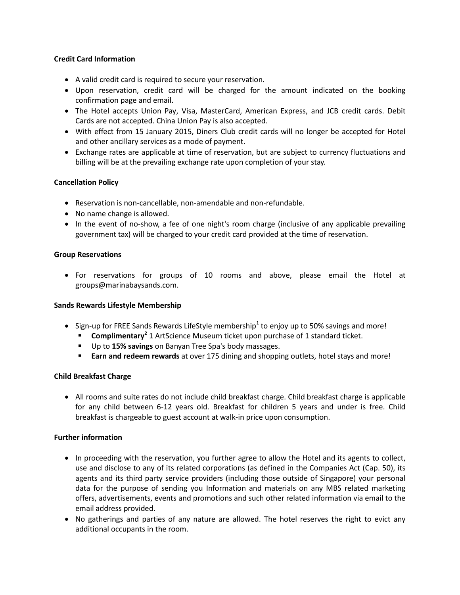### **Credit Card Information**

- A valid credit card is required to secure your reservation.
- Upon reservation, credit card will be charged for the amount indicated on the booking confirmation page and email.
- The Hotel accepts Union Pay, Visa, MasterCard, American Express, and JCB credit cards. Debit Cards are not accepted. China Union Pay is also accepted.
- With effect from 15 January 2015, Diners Club credit cards will no longer be accepted for Hotel and other ancillary services as a mode of payment.
- Exchange rates are applicable at time of reservation, but are subject to currency fluctuations and billing will be at the prevailing exchange rate upon completion of your stay.

### **Cancellation Policy**

- Reservation is non-cancellable, non-amendable and non-refundable.
- No name change is allowed.
- In the event of no-show, a fee of one night's room charge (inclusive of any applicable prevailing government tax) will be charged to your credit card provided at the time of reservation.

### **Group Reservations**

 For reservations for groups of 10 rooms and above, please email the Hotel at groups@marinabaysands.com.

### **Sands Rewards Lifestyle Membership**

- Sign-up for FREE Sands Rewards LifeStyle membership<sup>1</sup> to enjoy up to 50% savings and more!
	- **Complimentary<sup>2</sup>** 1 ArtScience Museum ticket upon purchase of 1 standard ticket.
	- Up to **15% savings** on Banyan Tree Spa's body massages.
	- **Earn and redeem rewards** at over 175 dining and shopping outlets, hotel stays and more!

### **Child Breakfast Charge**

 All rooms and suite rates do not include child breakfast charge. Child breakfast charge is applicable for any child between 6-12 years old. Breakfast for children 5 years and under is free. Child breakfast is chargeable to guest account at walk-in price upon consumption.

### **Further information**

- In proceeding with the reservation, you further agree to allow the Hotel and its agents to collect, use and disclose to any of its related corporations (as defined in the Companies Act (Cap. 50), its agents and its third party service providers (including those outside of Singapore) your personal data for the purpose of sending you Information and materials on any MBS related marketing offers, advertisements, events and promotions and such other related information via email to the email address provided.
- No gatherings and parties of any nature are allowed. The hotel reserves the right to evict any additional occupants in the room.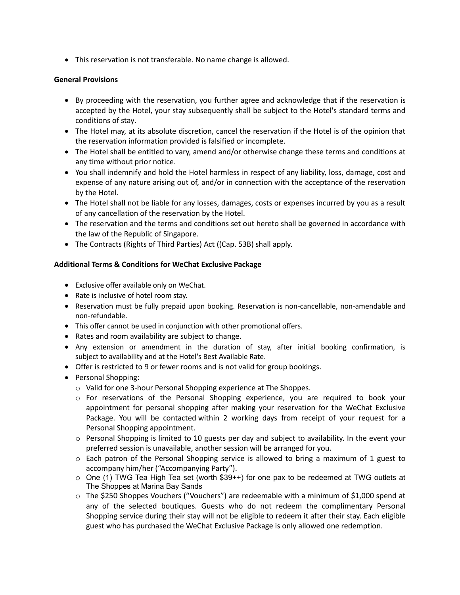This reservation is not transferable. No name change is allowed.

### **General Provisions**

- By proceeding with the reservation, you further agree and acknowledge that if the reservation is accepted by the Hotel, your stay subsequently shall be subject to the Hotel's standard terms and conditions of stay.
- The Hotel may, at its absolute discretion, cancel the reservation if the Hotel is of the opinion that the reservation information provided is falsified or incomplete.
- The Hotel shall be entitled to vary, amend and/or otherwise change these terms and conditions at any time without prior notice.
- You shall indemnify and hold the Hotel harmless in respect of any liability, loss, damage, cost and expense of any nature arising out of, and/or in connection with the acceptance of the reservation by the Hotel.
- The Hotel shall not be liable for any losses, damages, costs or expenses incurred by you as a result of any cancellation of the reservation by the Hotel.
- The reservation and the terms and conditions set out hereto shall be governed in accordance with the law of the Republic of Singapore.
- The Contracts (Rights of Third Parties) Act ((Cap. 53B) shall apply.

### **Additional Terms & Conditions for WeChat Exclusive Package**

- Exclusive offer available only on WeChat.
- Rate is inclusive of hotel room stay.
- Reservation must be fully prepaid upon booking. Reservation is non-cancellable, non-amendable and non-refundable.
- This offer cannot be used in conjunction with other promotional offers.
- Rates and room availability are subject to change.
- Any extension or amendment in the duration of stay, after initial booking confirmation, is subject to availability and at the Hotel's Best Available Rate.
- Offer is restricted to 9 or fewer rooms and is not valid for group bookings.
- Personal Shopping:
	- o Valid for one 3-hour Personal Shopping experience at The Shoppes.
	- o For reservations of the Personal Shopping experience, you are required to book your appointment for personal shopping after making your reservation for the WeChat Exclusive Package. You will be contacted within 2 working days from receipt of your request for a Personal Shopping appointment.
	- $\circ$  Personal Shopping is limited to 10 guests per day and subject to availability. In the event your preferred session is unavailable, another session will be arranged for you.
	- $\circ$  Each patron of the Personal Shopping service is allowed to bring a maximum of 1 guest to accompany him/her ("Accompanying Party").
	- $\circ$  One (1) TWG Tea High Tea set (worth \$39++) for one pax to be redeemed at TWG outlets at The Shoppes at Marina Bay Sands
	- o The \$250 Shoppes Vouchers ("Vouchers") are redeemable with a minimum of \$1,000 spend at any of the selected boutiques. Guests who do not redeem the complimentary Personal Shopping service during their stay will not be eligible to redeem it after their stay. Each eligible guest who has purchased the WeChat Exclusive Package is only allowed one redemption.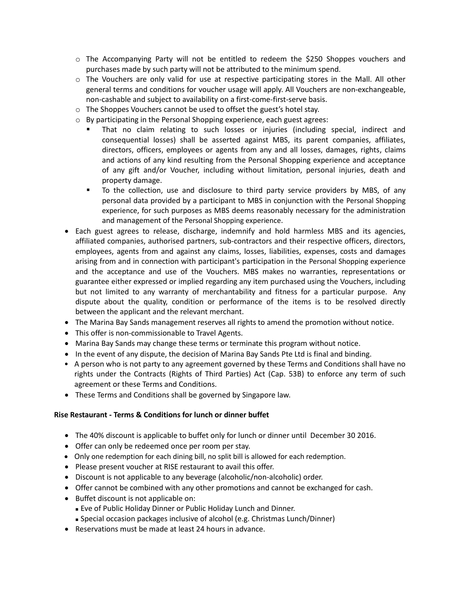- o The Accompanying Party will not be entitled to redeem the \$250 Shoppes vouchers and purchases made by such party will not be attributed to the minimum spend.
- $\circ$  The Vouchers are only valid for use at respective participating stores in the Mall. All other general terms and conditions for voucher usage will apply. All Vouchers are non-exchangeable, non-cashable and subject to availability on a first-come-first-serve basis.
- o The Shoppes Vouchers cannot be used to offset the guest's hotel stay.
- o By participating in the Personal Shopping experience, each guest agrees:
	- That no claim relating to such losses or injuries (including special, indirect and consequential losses) shall be asserted against MBS, its parent companies, affiliates, directors, officers, employees or agents from any and all losses, damages, rights, claims and actions of any kind resulting from the Personal Shopping experience and acceptance of any gift and/or Voucher, including without limitation, personal injuries, death and property damage.
	- To the collection, use and disclosure to third party service providers by MBS, of any personal data provided by a participant to MBS in conjunction with the Personal Shopping experience, for such purposes as MBS deems reasonably necessary for the administration and management of the Personal Shopping experience.
- Each guest agrees to release, discharge, indemnify and hold harmless MBS and its agencies, affiliated companies, authorised partners, sub-contractors and their respective officers, directors, employees, agents from and against any claims, losses, liabilities, expenses, costs and damages arising from and in connection with participant's participation in the Personal Shopping experience and the acceptance and use of the Vouchers. MBS makes no warranties, representations or guarantee either expressed or implied regarding any item purchased using the Vouchers, including but not limited to any warranty of merchantability and fitness for a particular purpose. Any dispute about the quality, condition or performance of the items is to be resolved directly between the applicant and the relevant merchant.
- The Marina Bay Sands management reserves all rights to amend the promotion without notice.
- This offer is non-commissionable to Travel Agents.
- Marina Bay Sands may change these terms or terminate this program without notice.
- In the event of any dispute, the decision of Marina Bay Sands Pte Ltd is final and binding.
- A person who is not party to any agreement governed by these Terms and Conditions shall have no rights under the Contracts (Rights of Third Parties) Act (Cap. 53B) to enforce any term of such agreement or these Terms and Conditions.
- These Terms and Conditions shall be governed by Singapore law.

### **Rise Restaurant - Terms & Conditions for lunch or dinner buffet**

- The 40% discount is applicable to buffet only for lunch or dinner until December 30 2016.
- Offer can only be redeemed once per room per stay.
- Only one redemption for each dining bill, no split bill is allowed for each redemption.
- Please present voucher at RISE restaurant to avail this offer.
- Discount is not applicable to any beverage (alcoholic/non-alcoholic) order.
- Offer cannot be combined with any other promotions and cannot be exchanged for cash.
- Buffet discount is not applicable on:
	- Eve of Public Holiday Dinner or Public Holiday Lunch and Dinner.
- Special occasion packages inclusive of alcohol (e.g. Christmas Lunch/Dinner)
- Reservations must be made at least 24 hours in advance.